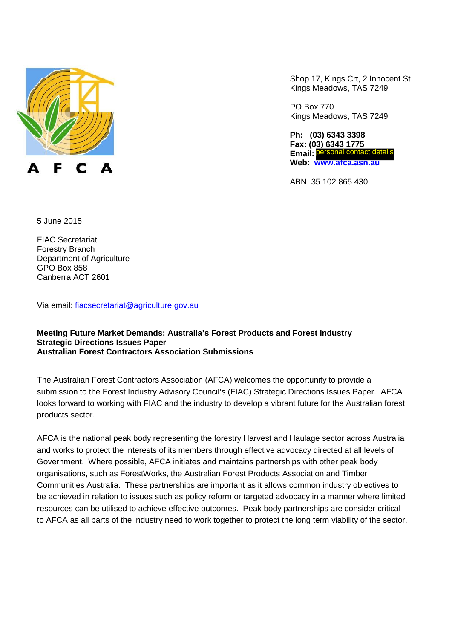

Shop 17, Kings Crt, 2 Innocent St Kings Meadows, TAS 7249

PO Box 770 Kings Meadows, TAS 7249

**Ph: (03) 6343 3398 Fax: (03) 6343 1775 Email: Web: www.afca.asn.au** personal contact details

ABN 35 102 865 430

5 June 2015

FIAC Secretariat Forestry Branch Department of Agriculture GPO Box 858 Canberra ACT 2601

Via email: fiacsecretariat@agriculture.gov.au

#### **Meeting Future Market Demands: Australia's Forest Products and Forest Industry Strategic Directions Issues Paper Australian Forest Contractors Association Submissions**

The Australian Forest Contractors Association (AFCA) welcomes the opportunity to provide a submission to the Forest Industry Advisory Council's (FIAC) Strategic Directions Issues Paper. AFCA looks forward to working with FIAC and the industry to develop a vibrant future for the Australian forest products sector.

AFCA is the national peak body representing the forestry Harvest and Haulage sector across Australia and works to protect the interests of its members through effective advocacy directed at all levels of Government. Where possible, AFCA initiates and maintains partnerships with other peak body organisations, such as ForestWorks, the Australian Forest Products Association and Timber Communities Australia. These partnerships are important as it allows common industry objectives to be achieved in relation to issues such as policy reform or targeted advocacy in a manner where limited resources can be utilised to achieve effective outcomes. Peak body partnerships are consider critical to AFCA as all parts of the industry need to work together to protect the long term viability of the sector.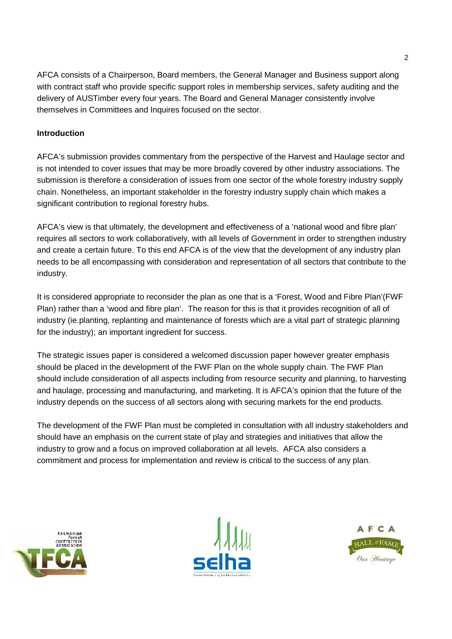AFCA consists of a Chairperson, Board members, the General Manager and Business support along with contract staff who provide specific support roles in membership services, safety auditing and the delivery of AUSTimber every four years. The Board and General Manager consistently involve themselves in Committees and Inquires focused on the sector.

# **Introduction**

AFCA's submission provides commentary from the perspective of the Harvest and Haulage sector and is not intended to cover issues that may be more broadly covered by other industry associations. The submission is therefore a consideration of issues from one sector of the whole forestry industry supply chain. Nonetheless, an important stakeholder in the forestry industry supply chain which makes a significant contribution to regional forestry hubs.

AFCA's view is that ultimately, the development and effectiveness of a 'national wood and fibre plan' requires all sectors to work collaboratively, with all levels of Government in order to strengthen industry and create a certain future. To this end AFCA is of the view that the development of any industry plan needs to be all encompassing with consideration and representation of all sectors that contribute to the industry.

It is considered appropriate to reconsider the plan as one that is a 'Forest, Wood and Fibre Plan'(FWF Plan) rather than a 'wood and fibre plan'. The reason for this is that it provides recognition of all of industry (ie.planting, replanting and maintenance of forests which are a vital part of strategic planning for the industry); an important ingredient for success.

The strategic issues paper is considered a welcomed discussion paper however greater emphasis should be placed in the development of the FWF Plan on the whole supply chain. The FWF Plan should include consideration of all aspects including from resource security and planning, to harvesting and haulage, processing and manufacturing, and marketing. It is AFCA's opinion that the future of the industry depends on the success of all sectors along with securing markets for the end products.

The development of the FWF Plan must be completed in consultation with all industry stakeholders and should have an emphasis on the current state of play and strategies and initiatives that allow the industry to grow and a focus on improved collaboration at all levels. AFCA also considers a commitment and process for implementation and review is critical to the success of any plan.





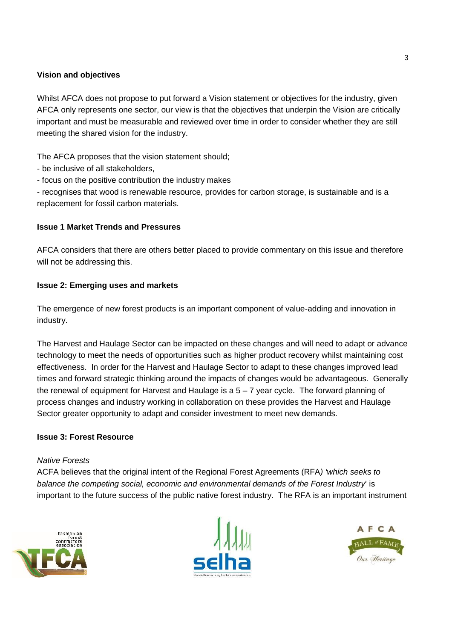### **Vision and objectives**

Whilst AFCA does not propose to put forward a Vision statement or objectives for the industry, given AFCA only represents one sector, our view is that the objectives that underpin the Vision are critically important and must be measurable and reviewed over time in order to consider whether they are still meeting the shared vision for the industry.

The AFCA proposes that the vision statement should;

- be inclusive of all stakeholders,
- focus on the positive contribution the industry makes

- recognises that wood is renewable resource, provides for carbon storage, is sustainable and is a replacement for fossil carbon materials.

### **Issue 1 Market Trends and Pressures**

AFCA considers that there are others better placed to provide commentary on this issue and therefore will not be addressing this.

### **Issue 2: Emerging uses and markets**

The emergence of new forest products is an important component of value-adding and innovation in industry.

The Harvest and Haulage Sector can be impacted on these changes and will need to adapt or advance technology to meet the needs of opportunities such as higher product recovery whilst maintaining cost effectiveness. In order for the Harvest and Haulage Sector to adapt to these changes improved lead times and forward strategic thinking around the impacts of changes would be advantageous. Generally the renewal of equipment for Harvest and Haulage is a  $5 - 7$  year cycle. The forward planning of process changes and industry working in collaboration on these provides the Harvest and Haulage Sector greater opportunity to adapt and consider investment to meet new demands.

### **Issue 3: Forest Resource**

### *Native Forests*

ACFA believes that the original intent of the Regional Forest Agreements (RFA*) 'which seeks to balance the competing social, economic and environmental demands of the Forest Industry*' is important to the future success of the public native forest industry. The RFA is an important instrument





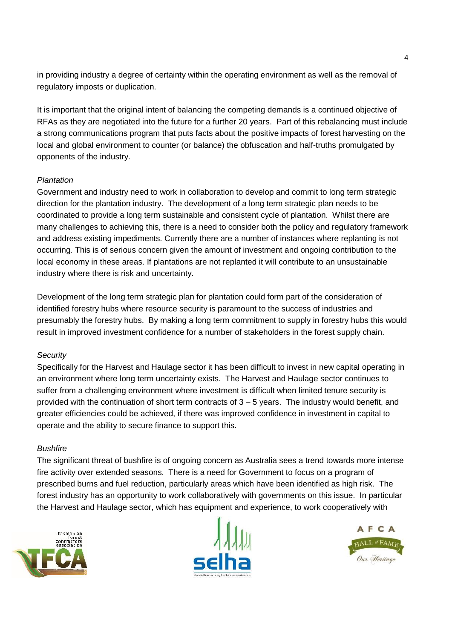in providing industry a degree of certainty within the operating environment as well as the removal of regulatory imposts or duplication.

It is important that the original intent of balancing the competing demands is a continued objective of RFAs as they are negotiated into the future for a further 20 years. Part of this rebalancing must include a strong communications program that puts facts about the positive impacts of forest harvesting on the local and global environment to counter (or balance) the obfuscation and half-truths promulgated by opponents of the industry.

### *Plantation*

Government and industry need to work in collaboration to develop and commit to long term strategic direction for the plantation industry. The development of a long term strategic plan needs to be coordinated to provide a long term sustainable and consistent cycle of plantation. Whilst there are many challenges to achieving this, there is a need to consider both the policy and regulatory framework and address existing impediments. Currently there are a number of instances where replanting is not occurring. This is of serious concern given the amount of investment and ongoing contribution to the local economy in these areas. If plantations are not replanted it will contribute to an unsustainable industry where there is risk and uncertainty.

Development of the long term strategic plan for plantation could form part of the consideration of identified forestry hubs where resource security is paramount to the success of industries and presumably the forestry hubs. By making a long term commitment to supply in forestry hubs this would result in improved investment confidence for a number of stakeholders in the forest supply chain.

### *Security*

Specifically for the Harvest and Haulage sector it has been difficult to invest in new capital operating in an environment where long term uncertainty exists. The Harvest and Haulage sector continues to suffer from a challenging environment where investment is difficult when limited tenure security is provided with the continuation of short term contracts of 3 – 5 years. The industry would benefit, and greater efficiencies could be achieved, if there was improved confidence in investment in capital to operate and the ability to secure finance to support this.

### *Bushfire*

The significant threat of bushfire is of ongoing concern as Australia sees a trend towards more intense fire activity over extended seasons. There is a need for Government to focus on a program of prescribed burns and fuel reduction, particularly areas which have been identified as high risk. The forest industry has an opportunity to work collaboratively with governments on this issue. In particular the Harvest and Haulage sector, which has equipment and experience, to work cooperatively with





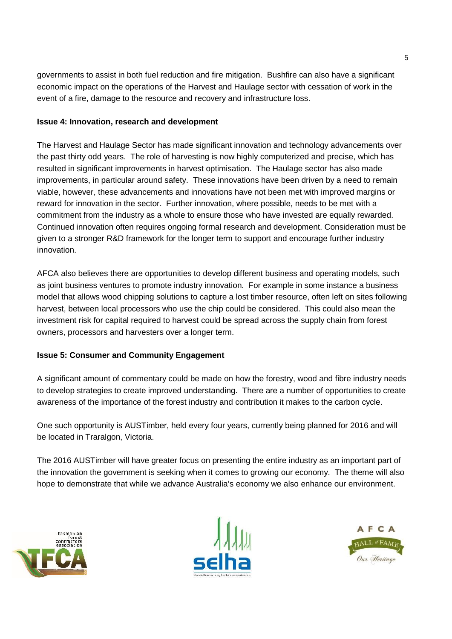governments to assist in both fuel reduction and fire mitigation. Bushfire can also have a significant economic impact on the operations of the Harvest and Haulage sector with cessation of work in the event of a fire, damage to the resource and recovery and infrastructure loss.

# **Issue 4: Innovation, research and development**

The Harvest and Haulage Sector has made significant innovation and technology advancements over the past thirty odd years. The role of harvesting is now highly computerized and precise, which has resulted in significant improvements in harvest optimisation. The Haulage sector has also made improvements, in particular around safety. These innovations have been driven by a need to remain viable, however, these advancements and innovations have not been met with improved margins or reward for innovation in the sector. Further innovation, where possible, needs to be met with a commitment from the industry as a whole to ensure those who have invested are equally rewarded. Continued innovation often requires ongoing formal research and development. Consideration must be given to a stronger R&D framework for the longer term to support and encourage further industry innovation.

AFCA also believes there are opportunities to develop different business and operating models, such as joint business ventures to promote industry innovation. For example in some instance a business model that allows wood chipping solutions to capture a lost timber resource, often left on sites following harvest, between local processors who use the chip could be considered. This could also mean the investment risk for capital required to harvest could be spread across the supply chain from forest owners, processors and harvesters over a longer term.

# **Issue 5: Consumer and Community Engagement**

A significant amount of commentary could be made on how the forestry, wood and fibre industry needs to develop strategies to create improved understanding. There are a number of opportunities to create awareness of the importance of the forest industry and contribution it makes to the carbon cycle.

One such opportunity is AUSTimber, held every four years, currently being planned for 2016 and will be located in Traralgon, Victoria.

The 2016 AUSTimber will have greater focus on presenting the entire industry as an important part of the innovation the government is seeking when it comes to growing our economy. The theme will also hope to demonstrate that while we advance Australia's economy we also enhance our environment.





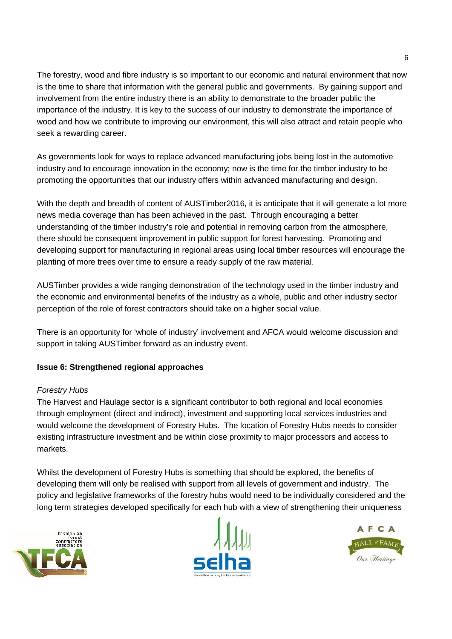The forestry, wood and fibre industry is so important to our economic and natural environment that now is the time to share that information with the general public and governments. By gaining support and involvement from the entire industry there is an ability to demonstrate to the broader public the importance of the industry. It is key to the success of our industry to demonstrate the importance of wood and how we contribute to improving our environment, this will also attract and retain people who seek a rewarding career.

As governments look for ways to replace advanced manufacturing jobs being lost in the automotive industry and to encourage innovation in the economy; now is the time for the timber industry to be promoting the opportunities that our industry offers within advanced manufacturing and design.

With the depth and breadth of content of AUSTimber2016, it is anticipate that it will generate a lot more news media coverage than has been achieved in the past. Through encouraging a better understanding of the timber industry's role and potential in removing carbon from the atmosphere, there should be consequent improvement in public support for forest harvesting. Promoting and developing support for manufacturing in regional areas using local timber resources will encourage the planting of more trees over time to ensure a ready supply of the raw material.

AUSTimber provides a wide ranging demonstration of the technology used in the timber industry and the economic and environmental benefits of the industry as a whole, public and other industry sector perception of the role of forest contractors should take on a higher social value.

There is an opportunity for 'whole of industry' involvement and AFCA would welcome discussion and support in taking AUSTimber forward as an industry event.

# **Issue 6: Strengthened regional approaches**

# *Forestry Hubs*

The Harvest and Haulage sector is a significant contributor to both regional and local economies through employment (direct and indirect), investment and supporting local services industries and would welcome the development of Forestry Hubs. The location of Forestry Hubs needs to consider existing infrastructure investment and be within close proximity to major processors and access to markets.

Whilst the development of Forestry Hubs is something that should be explored, the benefits of developing them will only be realised with support from all levels of government and industry. The policy and legislative frameworks of the forestry hubs would need to be individually considered and the long term strategies developed specifically for each hub with a view of strengthening their uniqueness





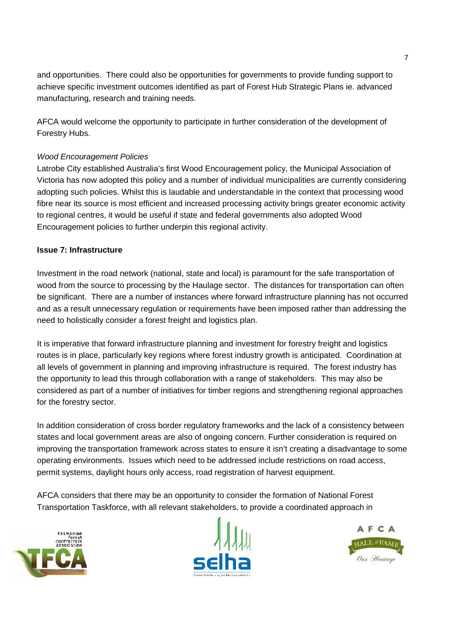and opportunities. There could also be opportunities for governments to provide funding support to achieve specific investment outcomes identified as part of Forest Hub Strategic Plans ie. advanced manufacturing, research and training needs.

AFCA would welcome the opportunity to participate in further consideration of the development of Forestry Hubs.

# *Wood Encouragement Policies*

Latrobe City established Australia's first Wood Encouragement policy, the Municipal Association of Victoria has now adopted this policy and a number of individual municipalities are currently considering adopting such policies. Whilst this is laudable and understandable in the context that processing wood fibre near its source is most efficient and increased processing activity brings greater economic activity to regional centres, it would be useful if state and federal governments also adopted Wood Encouragement policies to further underpin this regional activity.

### **Issue 7: Infrastructure**

Investment in the road network (national, state and local) is paramount for the safe transportation of wood from the source to processing by the Haulage sector. The distances for transportation can often be significant. There are a number of instances where forward infrastructure planning has not occurred and as a result unnecessary regulation or requirements have been imposed rather than addressing the need to holistically consider a forest freight and logistics plan.

It is imperative that forward infrastructure planning and investment for forestry freight and logistics routes is in place, particularly key regions where forest industry growth is anticipated. Coordination at all levels of government in planning and improving infrastructure is required. The forest industry has the opportunity to lead this through collaboration with a range of stakeholders. This may also be considered as part of a number of initiatives for timber regions and strengthening regional approaches for the forestry sector.

In addition consideration of cross border regulatory frameworks and the lack of a consistency between states and local government areas are also of ongoing concern. Further consideration is required on improving the transportation framework across states to ensure it isn't creating a disadvantage to some operating environments. Issues which need to be addressed include restrictions on road access, permit systems, daylight hours only access, road registration of harvest equipment.

AFCA considers that there may be an opportunity to consider the formation of National Forest Transportation Taskforce, with all relevant stakeholders, to provide a coordinated approach in





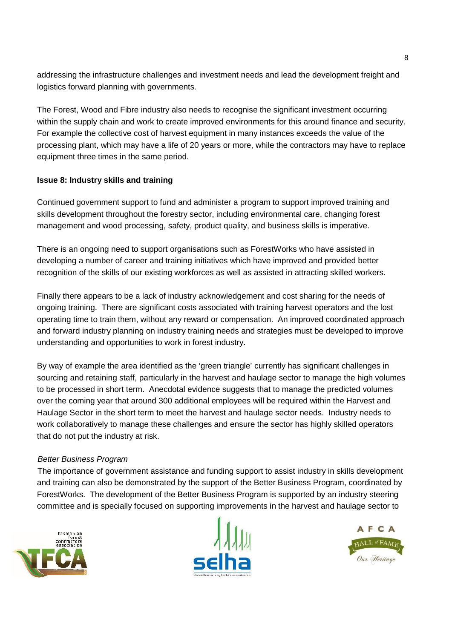addressing the infrastructure challenges and investment needs and lead the development freight and logistics forward planning with governments.

The Forest, Wood and Fibre industry also needs to recognise the significant investment occurring within the supply chain and work to create improved environments for this around finance and security. For example the collective cost of harvest equipment in many instances exceeds the value of the processing plant, which may have a life of 20 years or more, while the contractors may have to replace equipment three times in the same period.

### **Issue 8: Industry skills and training**

Continued government support to fund and administer a program to support improved training and skills development throughout the forestry sector, including environmental care, changing forest management and wood processing, safety, product quality, and business skills is imperative.

There is an ongoing need to support organisations such as ForestWorks who have assisted in developing a number of career and training initiatives which have improved and provided better recognition of the skills of our existing workforces as well as assisted in attracting skilled workers.

Finally there appears to be a lack of industry acknowledgement and cost sharing for the needs of ongoing training. There are significant costs associated with training harvest operators and the lost operating time to train them, without any reward or compensation. An improved coordinated approach and forward industry planning on industry training needs and strategies must be developed to improve understanding and opportunities to work in forest industry.

By way of example the area identified as the 'green triangle' currently has significant challenges in sourcing and retaining staff, particularly in the harvest and haulage sector to manage the high volumes to be processed in short term. Anecdotal evidence suggests that to manage the predicted volumes over the coming year that around 300 additional employees will be required within the Harvest and Haulage Sector in the short term to meet the harvest and haulage sector needs. Industry needs to work collaboratively to manage these challenges and ensure the sector has highly skilled operators that do not put the industry at risk.

### *Better Business Program*

The importance of government assistance and funding support to assist industry in skills development and training can also be demonstrated by the support of the Better Business Program, coordinated by ForestWorks. The development of the Better Business Program is supported by an industry steering committee and is specially focused on supporting improvements in the harvest and haulage sector to